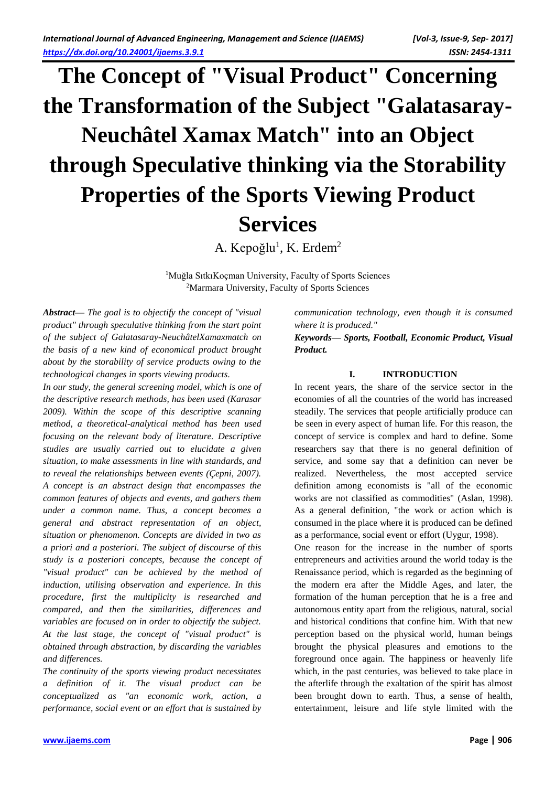# **The Concept of "Visual Product" Concerning the Transformation of the Subject "Galatasaray-Neuchâtel Xamax Match" into an Object through Speculative thinking via the Storability Properties of the Sports Viewing Product Services**

A. Kepoğlu<sup>1</sup>, K. Erdem<sup>2</sup>

<sup>1</sup>Muğla SıtkıKoçman University, Faculty of Sports Sciences <sup>2</sup>Marmara University, Faculty of Sports Sciences

*Abstract— The goal is to objectify the concept of "visual product" through speculative thinking from the start point of the subject of Galatasaray-NeuchâtelXamaxmatch on the basis of a new kind of economical product brought about by the storability of service products owing to the technological changes in sports viewing products.*

*In our study, the general screening model, which is one of the descriptive research methods, has been used (Karasar 2009). Within the scope of this descriptive scanning method, a theoretical-analytical method has been used focusing on the relevant body of literature. Descriptive studies are usually carried out to elucidate a given situation, to make assessments in line with standards, and to reveal the relationships between events (Çepni, 2007). A concept is an abstract design that encompasses the common features of objects and events, and gathers them under a common name. Thus, a concept becomes a general and abstract representation of an object, situation or phenomenon. Concepts are divided in two as a priori and a posteriori. The subject of discourse of this study is a posteriori concepts, because the concept of "visual product" can be achieved by the method of induction, utilising observation and experience. In this procedure, first the multiplicity is researched and compared, and then the similarities, differences and variables are focused on in order to objectify the subject. At the last stage, the concept of "visual product" is obtained through abstraction, by discarding the variables and differences.*

*The continuity of the sports viewing product necessitates a definition of it. The visual product can be conceptualized as "an economic work, action, a performance, social event or an effort that is sustained by*  *communication technology, even though it is consumed where it is produced."*

*Keywords— Sports, Football, Economic Product, Visual Product.*

# **I. INTRODUCTION**

In recent years, the share of the service sector in the economies of all the countries of the world has increased steadily. The services that people artificially produce can be seen in every aspect of human life. For this reason, the concept of service is complex and hard to define. Some researchers say that there is no general definition of service, and some say that a definition can never be realized. Nevertheless, the most accepted service definition among economists is "all of the economic works are not classified as commodities" (Aslan, 1998). As a general definition, "the work or action which is consumed in the place where it is produced can be defined as a performance, social event or effort (Uygur, 1998).

One reason for the increase in the number of sports entrepreneurs and activities around the world today is the Renaissance period, which is regarded as the beginning of the modern era after the Middle Ages, and later, the formation of the human perception that he is a free and autonomous entity apart from the religious, natural, social and historical conditions that confine him. With that new perception based on the physical world, human beings brought the physical pleasures and emotions to the foreground once again. The happiness or heavenly life which, in the past centuries, was believed to take place in the afterlife through the exaltation of the spirit has almost been brought down to earth. Thus, a sense of health, entertainment, leisure and life style limited with the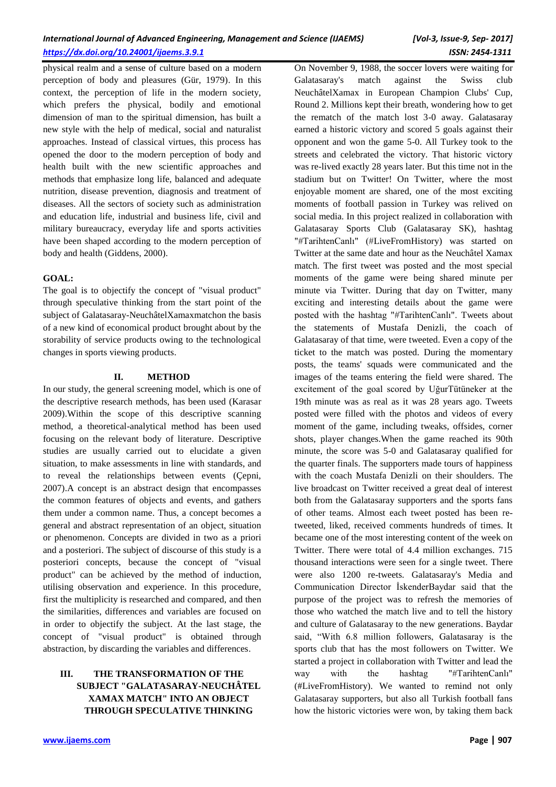physical realm and a sense of culture based on a modern perception of body and pleasures (Gür, 1979). In this context, the perception of life in the modern society, which prefers the physical, bodily and emotional dimension of man to the spiritual dimension, has built a new style with the help of medical, social and naturalist approaches. Instead of classical virtues, this process has opened the door to the modern perception of body and health built with the new scientific approaches and methods that emphasize long life, balanced and adequate nutrition, disease prevention, diagnosis and treatment of diseases. All the sectors of society such as administration and education life, industrial and business life, civil and military bureaucracy, everyday life and sports activities have been shaped according to the modern perception of body and health (Giddens, 2000).

## **GOAL:**

The goal is to objectify the concept of "visual product" through speculative thinking from the start point of the subject of Galatasaray-NeuchâtelXamaxmatchon the basis of a new kind of economical product brought about by the storability of service products owing to the technological changes in sports viewing products.

## **II. METHOD**

In our study, the general screening model, which is one of the descriptive research methods, has been used (Karasar 2009).Within the scope of this descriptive scanning method, a theoretical-analytical method has been used focusing on the relevant body of literature. Descriptive studies are usually carried out to elucidate a given situation, to make assessments in line with standards, and to reveal the relationships between events (Çepni, 2007).A concept is an abstract design that encompasses the common features of objects and events, and gathers them under a common name. Thus, a concept becomes a general and abstract representation of an object, situation or phenomenon. Concepts are divided in two as a priori and a posteriori. The subject of discourse of this study is a posteriori concepts, because the concept of "visual product" can be achieved by the method of induction, utilising observation and experience. In this procedure, first the multiplicity is researched and compared, and then the similarities, differences and variables are focused on in order to objectify the subject. At the last stage, the concept of "visual product" is obtained through abstraction, by discarding the variables and differences.

# **III. THE TRANSFORMATION OF THE SUBJECT "GALATASARAY-NEUCHÂTEL XAMAX MATCH" INTO AN OBJECT THROUGH SPECULATIVE THINKING**

**[www.ijaems.com](http://www.ijaems.com/) Page | 907**

On November 9, 1988, the soccer lovers were waiting for Galatasaray's match against the Swiss club NeuchâtelXamax in European Champion Clubs' Cup, Round 2. Millions kept their breath, wondering how to get the rematch of the match lost 3-0 away. Galatasaray earned a historic victory and scored 5 goals against their opponent and won the game 5-0. All Turkey took to the streets and celebrated the victory. That historic victory was re-lived exactly 28 years later. But this time not in the stadium but on Twitter! On Twitter, where the most enjoyable moment are shared, one of the most exciting moments of football passion in Turkey was relived on social media. In this project realized in collaboration with Galatasaray Sports Club (Galatasaray SK), hashtag "#TarihtenCanlı" (#LiveFromHistory) was started on Twitter at the same date and hour as the Neuchâtel Xamax match. The first tweet was posted and the most special moments of the game were being shared minute per minute via Twitter. During that day on Twitter, many exciting and interesting details about the game were posted with the hashtag "#TarihtenCanlı". Tweets about the statements of Mustafa Denizli, the coach of Galatasaray of that time, were tweeted. Even a copy of the ticket to the match was posted. During the momentary posts, the teams' squads were communicated and the images of the teams entering the field were shared. The excitement of the goal scored by UğurTütüneker at the 19th minute was as real as it was 28 years ago. Tweets posted were filled with the photos and videos of every moment of the game, including tweaks, offsides, corner shots, player changes.When the game reached its 90th minute, the score was 5-0 and Galatasaray qualified for the quarter finals. The supporters made tours of happiness with the coach Mustafa Denizli on their shoulders. The live broadcast on Twitter received a great deal of interest both from the Galatasaray supporters and the sports fans of other teams. Almost each tweet posted has been retweeted, liked, received comments hundreds of times. It became one of the most interesting content of the week on Twitter. There were total of 4.4 million exchanges. 715 thousand interactions were seen for a single tweet. There were also 1200 re-tweets. Galatasaray's Media and Communication Director İskenderBaydar said that the purpose of the project was to refresh the memories of those who watched the match live and to tell the history and culture of Galatasaray to the new generations. Baydar said, "With 6.8 million followers, Galatasaray is the sports club that has the most followers on Twitter. We started a project in collaboration with Twitter and lead the way with the hashtag "#TarihtenCanlı" (#LiveFromHistory). We wanted to remind not only Galatasaray supporters, but also all Turkish football fans how the historic victories were won, by taking them back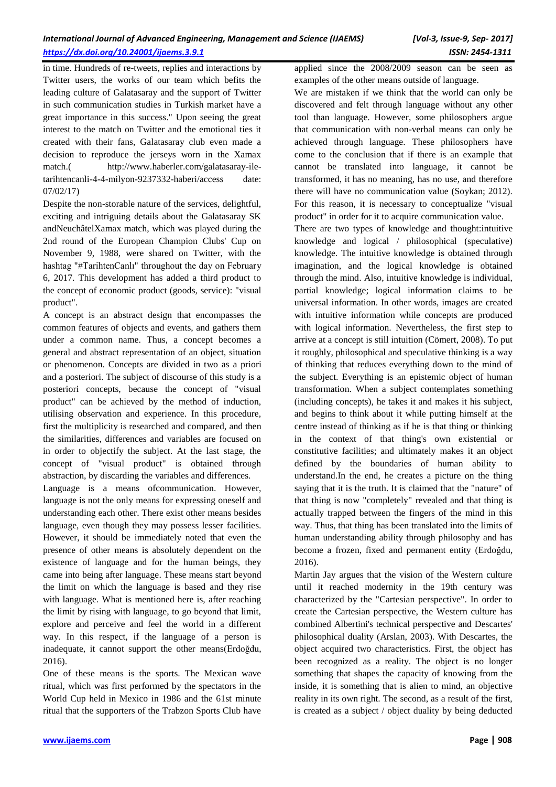in time. Hundreds of re-tweets, replies and interactions by Twitter users, the works of our team which befits the leading culture of Galatasaray and the support of Twitter in such communication studies in Turkish market have a great importance in this success." Upon seeing the great interest to the match on Twitter and the emotional ties it created with their fans, Galatasaray club even made a decision to reproduce the jerseys worn in the Xamax match.( [http://www.haberler.com/galatasaray-ile](http://www.haberler.com/galatasaray-ile-tarihtencanli-4-4-milyon-9237332-haberi/)[tarihtencanli-4-4-milyon-9237332-haberi/a](http://www.haberler.com/galatasaray-ile-tarihtencanli-4-4-milyon-9237332-haberi/)ccess date: 07/02/17)

Despite the non-storable nature of the services, delightful, exciting and intriguing details about the Galatasaray SK andNeuchâtelXamax match, which was played during the 2nd round of the European Champion Clubs' Cup on November 9, 1988, were shared on Twitter, with the hashtag "#TarihtenCanlı" throughout the day on February 6, 2017. This development has added a third product to the concept of economic product (goods, service): "visual product".

A concept is an abstract design that encompasses the common features of objects and events, and gathers them under a common name. Thus, a concept becomes a general and abstract representation of an object, situation or phenomenon. Concepts are divided in two as a priori and a posteriori. The subject of discourse of this study is a posteriori concepts, because the concept of "visual product" can be achieved by the method of induction, utilising observation and experience. In this procedure, first the multiplicity is researched and compared, and then the similarities, differences and variables are focused on in order to objectify the subject. At the last stage, the concept of "visual product" is obtained through abstraction, by discarding the variables and differences.

Language is a means of communication. However, language is not the only means for expressing oneself and understanding each other. There exist other means besides language, even though they may possess lesser facilities. However, it should be immediately noted that even the presence of other means is absolutely dependent on the existence of language and for the human beings, they came into being after language. These means start beyond the limit on which the language is based and they rise with language. What is mentioned here is, after reaching the limit by rising with language, to go beyond that limit, explore and perceive and feel the world in a different way. In this respect, if the language of a person is inadequate, it cannot support the other means(Erdoğdu, 2016).

One of these means is the sports. The Mexican wave ritual, which was first performed by the spectators in the World Cup held in Mexico in 1986 and the 61st minute ritual that the supporters of the Trabzon Sports Club have

applied since the 2008/2009 season can be seen as examples of the other means outside of language.

We are mistaken if we think that the world can only be discovered and felt through language without any other tool than language. However, some philosophers argue that communication with non-verbal means can only be achieved through language. These philosophers have come to the conclusion that if there is an example that cannot be translated into language, it cannot be transformed, it has no meaning, has no use, and therefore there will have no communication value (Soykan; 2012). For this reason, it is necessary to conceptualize "visual product" in order for it to acquire communication value.

There are two types of knowledge and thought:intuitive knowledge and logical / philosophical (speculative) knowledge. The intuitive knowledge is obtained through imagination, and the logical knowledge is obtained through the mind. Also, intuitive knowledge is individual, partial knowledge; logical information claims to be universal information. In other words, images are created with intuitive information while concepts are produced with logical information. Nevertheless, the first step to arrive at a concept is still intuition (Cömert, 2008). To put it roughly, philosophical and speculative thinking is a way of thinking that reduces everything down to the mind of the subject. Everything is an epistemic object of human transformation. When a subject contemplates something (including concepts), he takes it and makes it his subject, and begins to think about it while putting himself at the centre instead of thinking as if he is that thing or thinking in the context of that thing's own existential or constitutive facilities; and ultimately makes it an object defined by the boundaries of human ability to understand.In the end, he creates a picture on the thing saying that it is the truth. It is claimed that the "nature" of that thing is now "completely" revealed and that thing is actually trapped between the fingers of the mind in this way. Thus, that thing has been translated into the limits of human understanding ability through philosophy and has become a frozen, fixed and permanent entity (Erdoğdu, 2016).

Martin Jay argues that the vision of the Western culture until it reached modernity in the 19th century was characterized by the "Cartesian perspective". In order to create the Cartesian perspective, the Western culture has combined Albertini's technical perspective and Descartes' philosophical duality (Arslan, 2003). With Descartes, the object acquired two characteristics. First, the object has been recognized as a reality. The object is no longer something that shapes the capacity of knowing from the inside, it is something that is alien to mind, an objective reality in its own right. The second, as a result of the first, is created as a subject / object duality by being deducted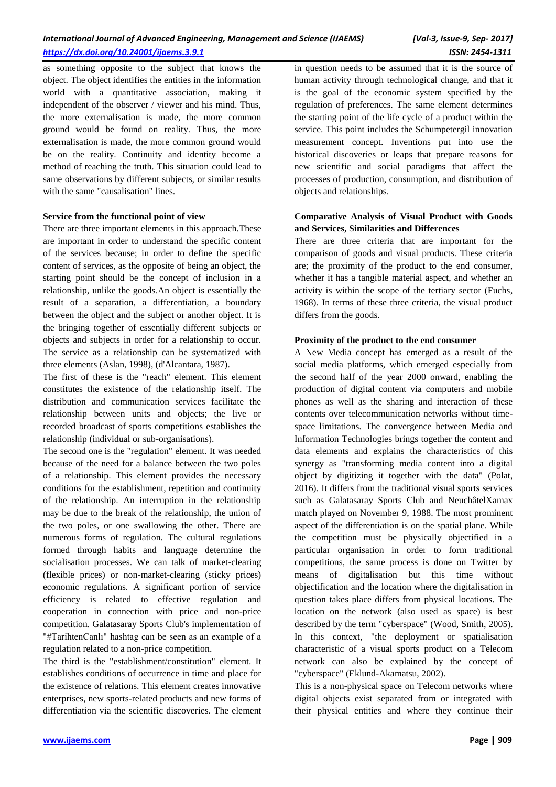as something opposite to the subject that knows the object. The object identifies the entities in the information world with a quantitative association, making it independent of the observer / viewer and his mind. Thus, the more externalisation is made, the more common ground would be found on reality. Thus, the more externalisation is made, the more common ground would be on the reality. Continuity and identity become a method of reaching the truth. This situation could lead to same observations by different subjects, or similar results with the same "causalisation" lines.

#### **Service from the functional point of view**

There are three important elements in this approach.These are important in order to understand the specific content of the services because; in order to define the specific content of services, as the opposite of being an object, the starting point should be the concept of inclusion in a relationship, unlike the goods.An object is essentially the result of a separation, a differentiation, a boundary between the object and the subject or another object. It is the bringing together of essentially different subjects or objects and subjects in order for a relationship to occur. The service as a relationship can be systematized with three elements (Aslan, 1998), (d'Alcantara, 1987).

The first of these is the "reach" element. This element constitutes the existence of the relationship itself. The distribution and communication services facilitate the relationship between units and objects; the live or recorded broadcast of sports competitions establishes the relationship (individual or sub-organisations).

The second one is the "regulation" element. It was needed because of the need for a balance between the two poles of a relationship. This element provides the necessary conditions for the establishment, repetition and continuity of the relationship. An interruption in the relationship may be due to the break of the relationship, the union of the two poles, or one swallowing the other. There are numerous forms of regulation. The cultural regulations formed through habits and language determine the socialisation processes. We can talk of market-clearing (flexible prices) or non-market-clearing (sticky prices) economic regulations. A significant portion of service efficiency is related to effective regulation and cooperation in connection with price and non-price competition. Galatasaray Sports Club's implementation of "#TarihtenCanlı" hashtag can be seen as an example of a regulation related to a non-price competition.

The third is the "establishment/constitution" element. It establishes conditions of occurrence in time and place for the existence of relations. This element creates innovative enterprises, new sports-related products and new forms of differentiation via the scientific discoveries. The element in question needs to be assumed that it is the source of human activity through technological change, and that it is the goal of the economic system specified by the regulation of preferences. The same element determines the starting point of the life cycle of a product within the service. This point includes the Schumpetergil innovation measurement concept. Inventions put into use the historical discoveries or leaps that prepare reasons for new scientific and social paradigms that affect the processes of production, consumption, and distribution of objects and relationships.

## **Comparative Analysis of Visual Product with Goods and Services, Similarities and Differences**

There are three criteria that are important for the comparison of goods and visual products. These criteria are; the proximity of the product to the end consumer, whether it has a tangible material aspect, and whether an activity is within the scope of the tertiary sector (Fuchs, 1968). In terms of these three criteria, the visual product differs from the goods.

#### **Proximity of the product to the end consumer**

A New Media concept has emerged as a result of the social media platforms, which emerged especially from the second half of the year 2000 onward, enabling the production of digital content via computers and mobile phones as well as the sharing and interaction of these contents over telecommunication networks without timespace limitations. The convergence between Media and Information Technologies brings together the content and data elements and explains the characteristics of this synergy as "transforming media content into a digital object by digitizing it together with the data" (Polat, 2016). It differs from the traditional visual sports services such as Galatasaray Sports Club and NeuchâtelXamax match played on November 9, 1988. The most prominent aspect of the differentiation is on the spatial plane. While the competition must be physically objectified in a particular organisation in order to form traditional competitions, the same process is done on Twitter by means of digitalisation but this time without objectification and the location where the digitalisation in question takes place differs from physical locations. The location on the network (also used as space) is best described by the term "cyberspace" (Wood, Smith, 2005). In this context, "the deployment or spatialisation characteristic of a visual sports product on a Telecom network can also be explained by the concept of "cyberspace" (Eklund-Akamatsu, 2002).

This is a non-physical space on Telecom networks where digital objects exist separated from or integrated with their physical entities and where they continue their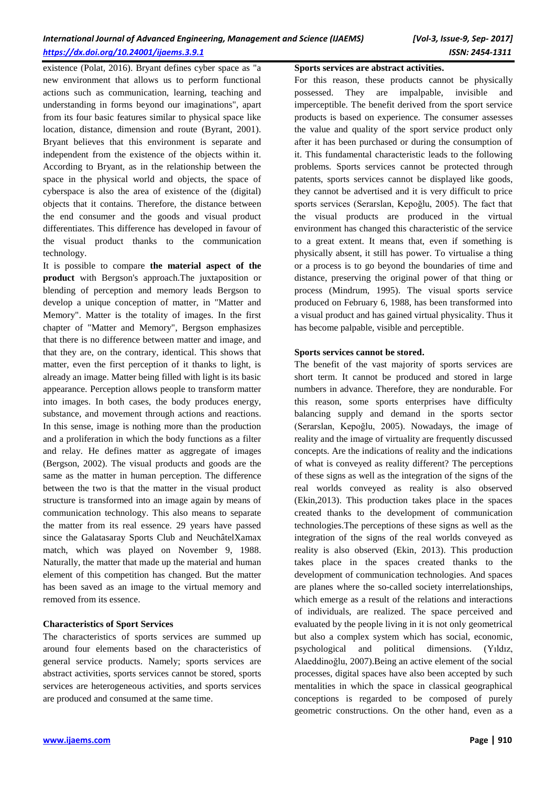existence (Polat, 2016). Bryant defines cyber space as "a new environment that allows us to perform functional actions such as communication, learning, teaching and understanding in forms beyond our imaginations", apart from its four basic features similar to physical space like location, distance, dimension and route (Byrant, 2001). Bryant believes that this environment is separate and independent from the existence of the objects within it. According to Bryant, as in the relationship between the space in the physical world and objects, the space of cyberspace is also the area of existence of the (digital) objects that it contains. Therefore, the distance between the end consumer and the goods and visual product differentiates. This difference has developed in favour of the visual product thanks to the communication technology.

It is possible to compare **the material aspect of the product** with Bergson's approach.The juxtaposition or blending of perception and memory leads Bergson to develop a unique conception of matter, in "Matter and Memory". Matter is the totality of images. In the first chapter of "Matter and Memory", Bergson emphasizes that there is no difference between matter and image, and that they are, on the contrary, identical. This shows that matter, even the first perception of it thanks to light, is already an image. Matter being filled with light is its basic appearance. Perception allows people to transform matter into images. In both cases, the body produces energy, substance, and movement through actions and reactions. In this sense, image is nothing more than the production and a proliferation in which the body functions as a filter and relay. He defines matter as aggregate of images (Bergson, 2002). The visual products and goods are the same as the matter in human perception. The difference between the two is that the matter in the visual product structure is transformed into an image again by means of communication technology. This also means to separate the matter from its real essence. 29 years have passed since the Galatasaray Sports Club and NeuchâtelXamax match, which was played on November 9, 1988. Naturally, the matter that made up the material and human element of this competition has changed. But the matter has been saved as an image to the virtual memory and removed from its essence.

#### **Characteristics of Sport Services**

The characteristics of sports services are summed up around four elements based on the characteristics of general service products. Namely; sports services are abstract activities, sports services cannot be stored, sports services are heterogeneous activities, and sports services are produced and consumed at the same time.

#### **Sports services are abstract activities.**

For this reason, these products cannot be physically possessed. They are impalpable, invisible and imperceptible. The benefit derived from the sport service products is based on experience. The consumer assesses the value and quality of the sport service product only after it has been purchased or during the consumption of it. This fundamental characteristic leads to the following problems. Sports services cannot be protected through patents, sports services cannot be displayed like goods, they cannot be advertised and it is very difficult to price sports services (Serarslan, Kepoğlu, 2005). The fact that the visual products are produced in the virtual environment has changed this characteristic of the service to a great extent. It means that, even if something is physically absent, it still has power. To virtualise a thing or a process is to go beyond the boundaries of time and distance, preserving the original power of that thing or process (Mindrum, 1995). The visual sports service produced on February 6, 1988, has been transformed into a visual product and has gained virtual physicality. Thus it has become palpable, visible and perceptible.

#### **Sports services cannot be stored.**

The benefit of the vast majority of sports services are short term. It cannot be produced and stored in large numbers in advance. Therefore, they are nondurable. For this reason, some sports enterprises have difficulty balancing supply and demand in the sports sector (Serarslan, Kepoğlu, 2005). Nowadays, the image of reality and the image of virtuality are frequently discussed concepts. Are the indications of reality and the indications of what is conveyed as reality different? The perceptions of these signs as well as the integration of the signs of the real worlds conveyed as reality is also observed (Ekin,2013). This production takes place in the spaces created thanks to the development of communication technologies.The perceptions of these signs as well as the integration of the signs of the real worlds conveyed as reality is also observed (Ekin, 2013). This production takes place in the spaces created thanks to the development of communication technologies. And spaces are planes where the so-called society interrelationships, which emerge as a result of the relations and interactions of individuals, are realized. The space perceived and evaluated by the people living in it is not only geometrical but also a complex system which has social, economic, psychological and political dimensions. (Yıldız, Alaeddinoğlu, 2007).Being an active element of the social processes, digital spaces have also been accepted by such mentalities in which the space in classical geographical conceptions is regarded to be composed of purely geometric constructions. On the other hand, even as a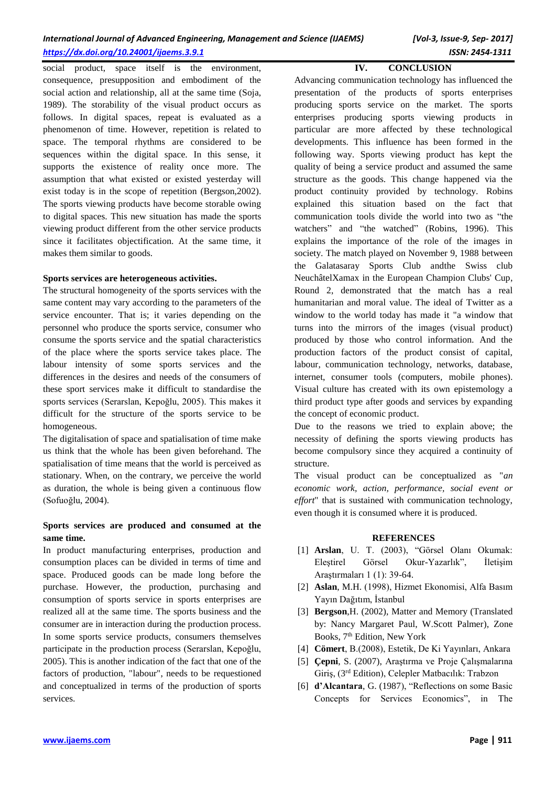social product, space itself is the environment, consequence, presupposition and embodiment of the social action and relationship, all at the same time (Soja, 1989). The storability of the visual product occurs as follows. In digital spaces, repeat is evaluated as a phenomenon of time. However, repetition is related to space. The temporal rhythms are considered to be sequences within the digital space. In this sense, it supports the existence of reality once more. The assumption that what existed or existed yesterday will exist today is in the scope of repetition (Bergson,2002). The sports viewing products have become storable owing to digital spaces. This new situation has made the sports viewing product different from the other service products since it facilitates objectification. At the same time, it makes them similar to goods.

#### **Sports services are heterogeneous activities.**

The structural homogeneity of the sports services with the same content may vary according to the parameters of the service encounter. That is; it varies depending on the personnel who produce the sports service, consumer who consume the sports service and the spatial characteristics of the place where the sports service takes place. The labour intensity of some sports services and the differences in the desires and needs of the consumers of these sport services make it difficult to standardise the sports services (Serarslan, Kepoğlu, 2005). This makes it difficult for the structure of the sports service to be homogeneous.

The digitalisation of space and spatialisation of time make us think that the whole has been given beforehand. The spatialisation of time means that the world is perceived as stationary. When, on the contrary, we perceive the world as duration, the whole is being given a continuous flow (Sofuoğlu, 2004).

## **Sports services are produced and consumed at the same time.**

In product manufacturing enterprises, production and consumption places can be divided in terms of time and space. Produced goods can be made long before the purchase. However, the production, purchasing and consumption of sports service in sports enterprises are realized all at the same time. The sports business and the consumer are in interaction during the production process. In some sports service products, consumers themselves participate in the production process (Serarslan, Kepoğlu, 2005). This is another indication of the fact that one of the factors of production, "labour", needs to be requestioned and conceptualized in terms of the production of sports services.

**IV. CONCLUSION**

Advancing communication technology has influenced the presentation of the products of sports enterprises producing sports service on the market. The sports enterprises producing sports viewing products in particular are more affected by these technological developments. This influence has been formed in the following way. Sports viewing product has kept the quality of being a service product and assumed the same structure as the goods. This change happened via the product continuity provided by technology. Robins explained this situation based on the fact that communication tools divide the world into two as "the watchers" and "the watched" (Robins, 1996). This explains the importance of the role of the images in society. The match played on November 9, 1988 between the Galatasaray Sports Club andthe Swiss club NeuchâtelXamax in the European Champion Clubs' Cup, Round 2, demonstrated that the match has a real humanitarian and moral value. The ideal of Twitter as a window to the world today has made it "a window that turns into the mirrors of the images (visual product) produced by those who control information. And the production factors of the product consist of capital, labour, communication technology, networks, database, internet, consumer tools (computers, mobile phones). Visual culture has created with its own epistemology a third product type after goods and services by expanding the concept of economic product.

Due to the reasons we tried to explain above; the necessity of defining the sports viewing products has become compulsory since they acquired a continuity of structure.

The visual product can be conceptualized as "*an economic work, action, performance, social event or effort*" that is sustained with communication technology, even though it is consumed where it is produced.

#### **REFERENCES**

- [1] **Arslan**, U. T. (2003), "Görsel Olanı Okumak: Eleştirel Görsel Okur-Yazarlık", İletişim Araştırmaları 1 (1): 39-64.
- [2] **Aslan**, M.H. (1998), Hizmet Ekonomisi, Alfa Basım Yayın Dağıtım, İstanbul
- [3] **Bergson**,H. (2002), Matter and Memory (Translated by: Nancy Margaret Paul, W.Scott Palmer), Zone Books, 7<sup>th</sup> Edition, New York
- [4] **Cömert**, B.(2008), Estetik, De Ki Yayınları, Ankara
- [5] **Çepni**, S. (2007), Araştırma ve Proje Çalışmalarına Giriş, (3<sup>rd</sup> Edition), Celepler Matbacılık: Trabzon
- [6] **d'Alcantara**, G. (1987), "Reflections on some Basic Concepts for Services Economics", in The